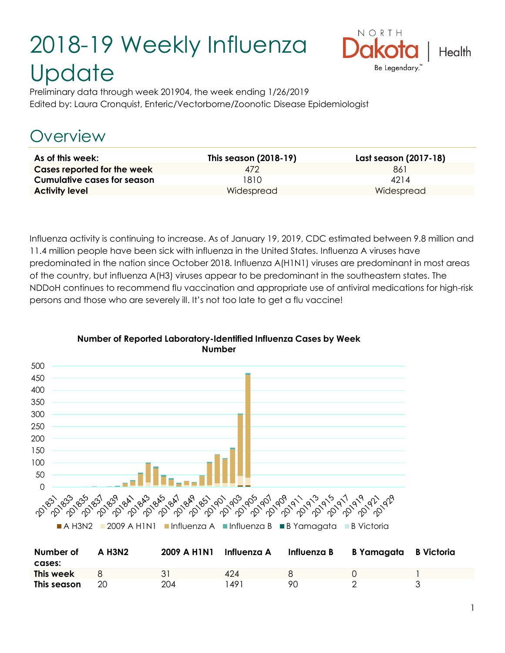# 2018-19 Weekly Influenza **Update**



Preliminary data through week 201904, the week ending 1/26/2019 Edited by: Laura Cronquist, Enteric/Vectorborne/Zoonotic Disease Epidemiologist

# Overview

| As of this week:                   | This season (2018-19) | Last season (2017-18) |
|------------------------------------|-----------------------|-----------------------|
| Cases reported for the week        | 472                   | 861                   |
| <b>Cumulative cases for season</b> | 1810                  | 4214                  |
| <b>Activity level</b>              | Widespread            | Widespread            |

Influenza activity is continuing to increase. As of January 19, 2019, CDC estimated between 9.8 million and 11.4 million people have been sick with influenza in the United States. Influenza A viruses have predominated in the nation since October 2018. Influenza A(H1N1) viruses are predominant in most areas of the country, but influenza A(H3) viruses appear to be predominant in the southeastern states. The NDDoH continues to recommend flu vaccination and appropriate use of antiviral medications for high-risk persons and those who are severely ill. It's not too late to get a flu vaccine!



#### **Number of Reported Laboratory-Identified Influenza Cases by Week Number**

| Number of<br>cases: | A H3N2 | 2009 A H1N1 | Influenza A |    | Influenza B B Yamagata B Victoria |  |
|---------------------|--------|-------------|-------------|----|-----------------------------------|--|
| This week           | 8      |             | $\Delta 24$ |    |                                   |  |
| This season         | 20     | 204         | 491         | 90 |                                   |  |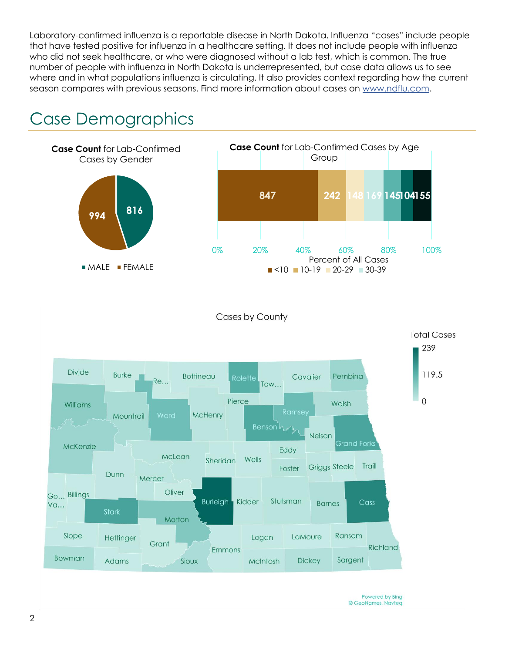Laboratory-confirmed influenza is a reportable disease in North Dakota. Influenza "cases" include people that have tested positive for influenza in a healthcare setting. It does not include people with influenza who did not seek healthcare, or who were diagnosed without a lab test, which is common. The true number of people with influenza in North Dakota is underrepresented, but case data allows us to see where and in what populations influenza is circulating. It also provides context regarding how the current season compares with previous seasons. Find more information about cases on [www.ndflu.com.](file://///nd.gov/doh/DOH-DATA/MSS/DC/PROGRAM/IMMUNE/Immunize/Influenza/Inf18-19/Surveillance/Weekly%20Summaries/www.ndflu.com)

# Case Demographics



Powered by Bing © GeoNames, Navteq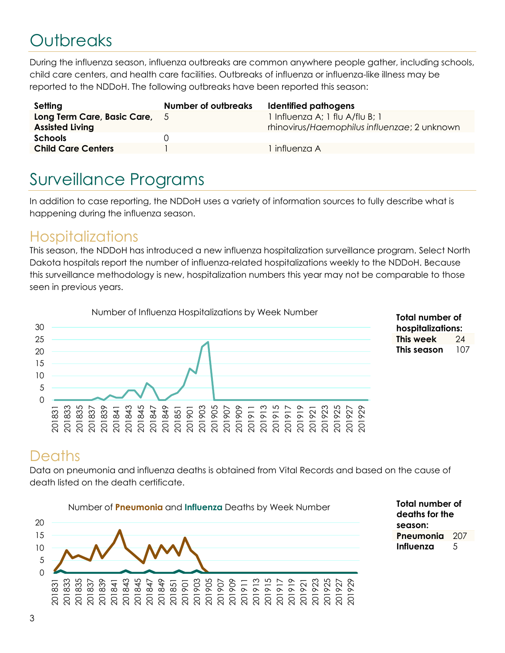# **Outbreaks**

During the influenza season, influenza outbreaks are common anywhere people gather, including schools, child care centers, and health care facilities. Outbreaks of influenza or influenza-like illness may be reported to the NDDoH. The following outbreaks have been reported this season:

| Setting                                                 | <b>Number of outbreaks</b> | Identified pathogens                                                            |
|---------------------------------------------------------|----------------------------|---------------------------------------------------------------------------------|
| Long Term Care, Basic Care, 5<br><b>Assisted Living</b> |                            | 1 Influenza A; 1 flu A/flu B; 1<br>rhinovirus/Haemophilus influenzae; 2 unknown |
| <b>Schools</b>                                          |                            |                                                                                 |
| <b>Child Care Centers</b>                               |                            | influenza A                                                                     |

# Surveillance Programs

In addition to case reporting, the NDDoH uses a variety of information sources to fully describe what is happening during the influenza season.

#### **Hospitalizations**

This season, the NDDoH has introduced a new influenza hospitalization surveillance program. Select North Dakota hospitals report the number of influenza-related hospitalizations weekly to the NDDoH. Because this surveillance methodology is new, hospitalization numbers this year may not be comparable to those seen in previous years.



| Total number of   |     |  |  |  |
|-------------------|-----|--|--|--|
| hospitalizations: |     |  |  |  |
| This week         | 24  |  |  |  |
| This season       | 107 |  |  |  |

### **Deaths**

Data on pneumonia and influenza deaths is obtained from Vital Records and based on the cause of death listed on the death certificate.



**Total number of deaths for the season: Pneumonia** 207 **Influenza** 5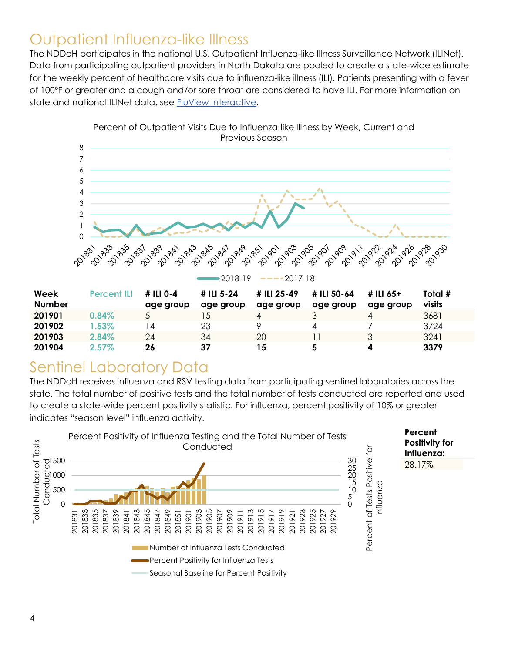### Outpatient Influenza-like Illness

The NDDoH participates in the national U.S. Outpatient Influenza-like Illness Surveillance Network (ILINet). Data from participating outpatient providers in North Dakota are pooled to create a state-wide estimate for the weekly percent of healthcare visits due to influenza-like illness (ILI). Patients presenting with a fever of 100ºF or greater and a cough and/or sore throat are considered to have ILI. For more information on state and national ILINet data, see [FluView Interactive.](https://gis.cdc.gov/grasp/fluview/fluportaldashboard.html)



## Sentinel Laboratory Data

The NDDoH receives influenza and RSV testing data from participating sentinel laboratories across the state. The total number of positive tests and the total number of tests conducted are reported and used to create a state-wide percent positivity statistic. For influenza, percent positivity of 10% or greater indicates "season level" influenza activity.

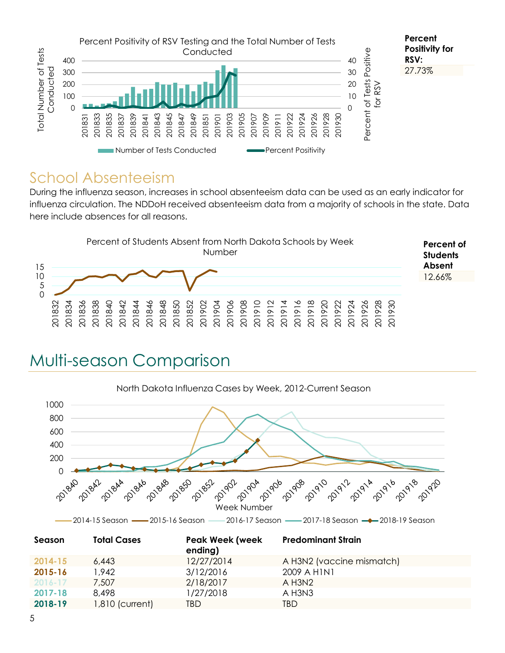

#### School Absenteeism

During the influenza season, increases in school absenteeism data can be used as an early indicator for influenza circulation. The NDDoH received absenteeism data from a majority of schools in the state. Data here include absences for all reasons.



# Multi-season Comparison



|             |                 | ending)    |                           |  |
|-------------|-----------------|------------|---------------------------|--|
| 2014-15     | 6.443           | 12/27/2014 | A H3N2 (vaccine mismatch) |  |
| 2015-16     | 1.942           | 3/12/2016  | 2009 A HINI               |  |
| $2016 - 17$ | 7.507           | 2/18/2017  | $A$ H3N2                  |  |
| 2017-18     | 8.498           | 1/27/2018  | A H3N3                    |  |
| 2018-19     | 1,810 (current) | TBD        | TBD                       |  |